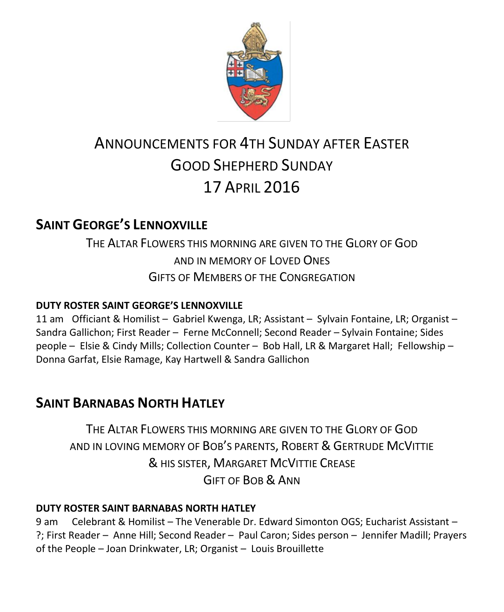

# ANNOUNCEMENTS FOR 4TH SUNDAY AFTER EASTER GOOD SHEPHERD SUNDAY 17 APRIL 2016

# **SAINT GEORGE'S LENNOXVILLE**

THE ALTAR FLOWERS THIS MORNING ARE GIVEN TO THE GLORY OF GOD AND IN MEMORY OF LOVED ONES GIFTS OF MEMBERS OF THE CONGREGATION

#### **DUTY ROSTER SAINT GEORGE'S LENNOXVILLE**

11 am Officiant & Homilist – Gabriel Kwenga, LR; Assistant – Sylvain Fontaine, LR; Organist – Sandra Gallichon; First Reader – Ferne McConnell; Second Reader – Sylvain Fontaine; Sides people – Elsie & Cindy Mills; Collection Counter – Bob Hall, LR & Margaret Hall; Fellowship – Donna Garfat, Elsie Ramage, Kay Hartwell & Sandra Gallichon

# **SAINT BARNABAS NORTH HATLEY**

THE ALTAR FLOWERS THIS MORNING ARE GIVEN TO THE GLORY OF GOD AND IN LOVING MEMORY OF BOB'S PARENTS, ROBERT & GERTRUDE MCVITTIE & HIS SISTER, MARGARET MCVITTIE CREASE GIFT OF BOB & ANN

#### **DUTY ROSTER SAINT BARNABAS NORTH HATLEY**

9 am Celebrant & Homilist – The Venerable Dr. Edward Simonton OGS; Eucharist Assistant – ?; First Reader – Anne Hill; Second Reader – Paul Caron; Sides person – Jennifer Madill; Prayers of the People – Joan Drinkwater, LR; Organist – Louis Brouillette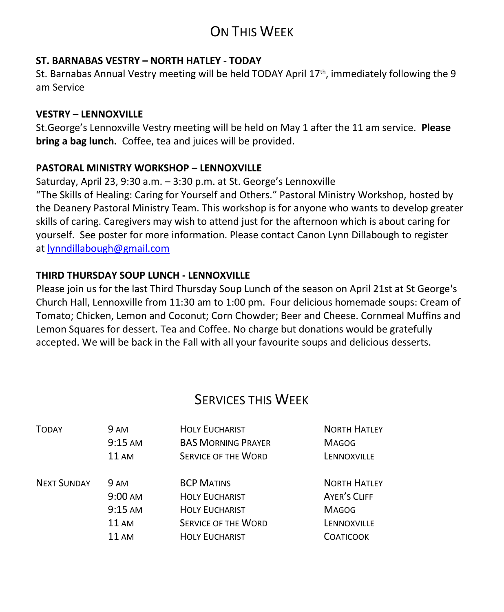# ON THIS WEEK

#### **ST. BARNABAS VESTRY – NORTH HATLEY - TODAY**

St. Barnabas Annual Vestry meeting will be held TODAY April  $17<sup>th</sup>$ , immediately following the 9 am Service

#### **VESTRY – LENNOXVILLE**

St.George's Lennoxville Vestry meeting will be held on May 1 after the 11 am service. **Please bring a bag lunch.** Coffee, tea and juices will be provided.

#### **PASTORAL MINISTRY WORKSHOP – LENNOXVILLE**

Saturday, April 23, 9:30 a.m. – 3:30 p.m. at St. George's Lennoxville "The Skills of Healing: Caring for Yourself and Others." Pastoral Ministry Workshop, hosted by the Deanery Pastoral Ministry Team. This workshop is for anyone who wants to develop greater skills of caring. Caregivers may wish to attend just for the afternoon which is about caring for yourself. See poster for more information. Please contact Canon Lynn Dillabough to register at [lynndillabough@gmail.com](https://webmail.ubishops.ca/owa/redir.aspx?REF=I6dyd5yngSmYqYpBD3Z6CoI9tDjv3VCrrEZ7iwAWC0jD6P34dFnTCAFodHRwczovL3dlYm1haWwudWJpc2hvcHMuY2Evb3dhL3JlZGlyLmFzcHg_U1VSTD1oZGpZVVQ3V0NVTllxRlppam96a25NSFdKM2FSeTZ2c3FUenJpbHA1Nlp0UDNfMnMtQlhUQ0cwQVlRQnBBR3dBZEFCdkFEb0FiQUI1QUc0QWJnQmtBR2tBYkFCc0FHRUFZZ0J2QUhVQVp3Qm9BRUFBWndCdEFHRUFhUUJzQUM0QVl3QnZBRzBBJlVSTD1tYWlsdG8lM2FseW5uZGlsbGFib3VnaCU0MGdtYWlsLmNvbQ..)

#### **THIRD THURSDAY SOUP LUNCH - LENNOXVILLE**

Please join us for the last Third Thursday Soup Lunch of the season on April 21st at St George's Church Hall, Lennoxville from 11:30 am to 1:00 pm. Four delicious homemade soups: Cream of Tomato; Chicken, Lemon and Coconut; Corn Chowder; Beer and Cheese. Cornmeal Muffins and Lemon Squares for dessert. Tea and Coffee. No charge but donations would be gratefully accepted. We will be back in the Fall with all your favourite soups and delicious desserts.

# SERVICES THIS WEEK

| <b>TODAY</b>       | 9 AM              | <b>HOLY EUCHARIST</b>      | <b>NORTH HATLEY</b> |
|--------------------|-------------------|----------------------------|---------------------|
|                    | $9:15 \text{ AM}$ | <b>BAS MORNING PRAYER</b>  | <b>MAGOG</b>        |
|                    | 11AM              | <b>SERVICE OF THE WORD</b> | LENNOXVILLE         |
| <b>NEXT SUNDAY</b> | 9 AM              | <b>BCP MATINS</b>          | <b>NORTH HATLEY</b> |
|                    | $9:00 \text{ AM}$ | <b>HOLY EUCHARIST</b>      | AYER'S CLIFF        |
|                    | $9:15 \text{ AM}$ | <b>HOLY EUCHARIST</b>      | <b>MAGOG</b>        |
|                    | <b>11 AM</b>      | <b>SERVICE OF THE WORD</b> | LENNOXVILLE         |
|                    | $11 \text{ AM}$   | <b>HOLY EUCHARIST</b>      | <b>COATICOOK</b>    |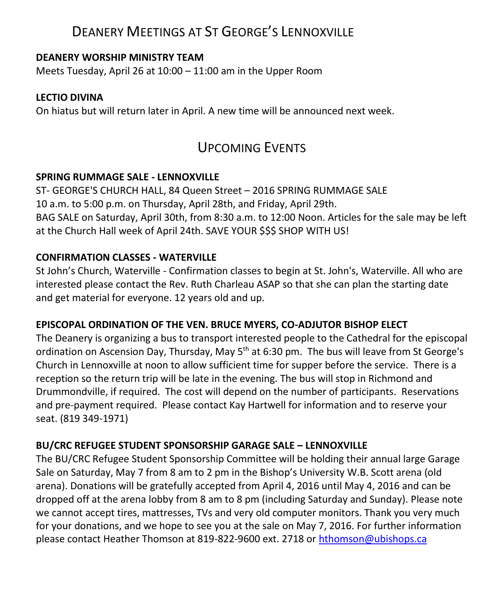## DEANERY MEETINGS AT ST GEORGE'S LENNOXVILLE

#### **DEANERY WORSHIP MINISTRY TEAM**

Meets Tuesday, April 26 at 10:00 – 11:00 am in the Upper Room

#### **LECTIO DIVINA**

On hiatus but will return later in April. A new time will be announced next week.

## UPCOMING EVENTS

#### **SPRING RUMMAGE SALE - LENNOXVILLE**

ST- GEORGE'S CHURCH HALL, 84 Queen Street – 2016 SPRING RUMMAGE SALE 10 a.m. to 5:00 p.m. on Thursday, April 28th, and Friday, April 29th. BAG SALE on Saturday, April 30th, from 8:30 a.m. to 12:00 Noon. Articles for the sale may be left at the Church Hall week of April 24th. SAVE YOUR \$\$\$ SHOP WITH US!

#### **CONFIRMATION CLASSES - WATERVILLE**

St John's Church, Waterville - Confirmation classes to begin at St. John's, Waterville. All who are interested please contact the Rev. Ruth Charleau ASAP so that she can plan the starting date and get material for everyone. 12 years old and up.

#### **EPISCOPAL ORDINATION OF THE VEN. BRUCE MYERS, CO-ADJUTOR BISHOP ELECT**

The Deanery is organizing a bus to transport interested people to the Cathedral for the episcopal ordination on Ascension Day, Thursday, May  $5<sup>th</sup>$  at 6:30 pm. The bus will leave from St George's Church in Lennoxville at noon to allow sufficient time for supper before the service. There is a reception so the return trip will be late in the evening. The bus will stop in Richmond and Drummondville, if required. The cost will depend on the number of participants. Reservations and pre-payment required. Please contact Kay Hartwell for information and to reserve your seat. (819 349-1971)

#### **BU/CRC REFUGEE STUDENT SPONSORSHIP GARAGE SALE – LENNOXVILLE**

The BU/CRC Refugee Student Sponsorship Committee will be holding their annual large Garage Sale on Saturday, May 7 from 8 am to 2 pm in the Bishop's University W.B. Scott arena (old arena). Donations will be gratefully accepted from April 4, 2016 until May 4, 2016 and can be dropped off at the arena lobby from 8 am to 8 pm (including Saturday and Sunday). Please note we cannot accept tires, mattresses, TVs and very old computer monitors. Thank you very much for your donations, and we hope to see you at the sale on May 7, 2016. For further information please contact Heather Thomson at 819-822-9600 ext. 2718 or [hthomson@ubishops.ca](https://webmail.ubishops.ca/owa/redir.aspx?REF=Me5rsmB_ft3ki6-OrTIQVNrKAPe_ylbyz3jK4hycUBnD6P34dFnTCAFodHRwczovL3dlYm1haWwudWJpc2hvcHMuY2Evb3dhL3JlZGlyLmFzcHg_UkVGPUZMbm1vY1FIb3MxYVNTNl9pemxvV3pYei12bjk0OGh1RDBOb25XOGl3bUMxS2dTT0NsalRDQUZ0WVdsc2RHODZhSFJvYjIxemIyNUFkV0pwYzJodmNITXVZMkUu)